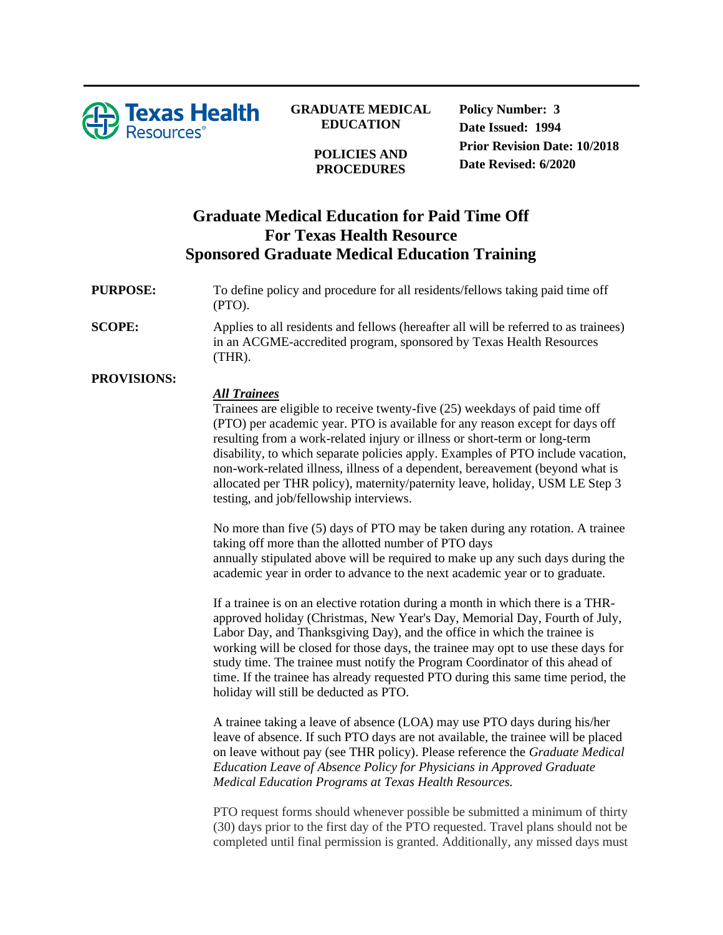

### **GRADUATE MEDICAL EDUCATION**

**POLICIES AND PROCEDURES**

**Policy Number: 3 Date Issued: 1994 Prior Revision Date: 10/2018 Date Revised: 6/2020**

# **Graduate Medical Education for Paid Time Off For Texas Health Resource Sponsored Graduate Medical Education Training**

### **PURPOSE:** To define policy and procedure for all residents/fellows taking paid time off (PTO).

**SCOPE:** Applies to all residents and fellows (hereafter all will be referred to as trainees) in an ACGME-accredited program, sponsored by Texas Health Resources (THR).

### **PROVISIONS:**

#### *All Trainees*

Trainees are eligible to receive twenty-five (25) weekdays of paid time off (PTO) per academic year. PTO is available for any reason except for days off resulting from a work-related injury or illness or short-term or long-term disability, to which separate policies apply. Examples of PTO include vacation, non-work-related illness, illness of a dependent, bereavement (beyond what is allocated per THR policy), maternity/paternity leave, holiday, USM LE Step 3 testing, and job/fellowship interviews.

No more than five (5) days of PTO may be taken during any rotation. A trainee taking off more than the allotted number of PTO days annually stipulated above will be required to make up any such days during the academic year in order to advance to the next academic year or to graduate.

If a trainee is on an elective rotation during a month in which there is a THRapproved holiday (Christmas, New Year's Day, Memorial Day, Fourth of July, Labor Day, and Thanksgiving Day), and the office in which the trainee is working will be closed for those days, the trainee may opt to use these days for study time. The trainee must notify the Program Coordinator of this ahead of time. If the trainee has already requested PTO during this same time period, the holiday will still be deducted as PTO.

A trainee taking a leave of absence (LOA) may use PTO days during his/her leave of absence. If such PTO days are not available, the trainee will be placed on leave without pay (see THR policy). Please reference the *Graduate Medical Education Leave of Absence Policy for Physicians in Approved Graduate Medical Education Programs at Texas Health Resources.*

PTO request forms should whenever possible be submitted a minimum of thirty (30) days prior to the first day of the PTO requested. Travel plans should not be completed until final permission is granted. Additionally, any missed days must